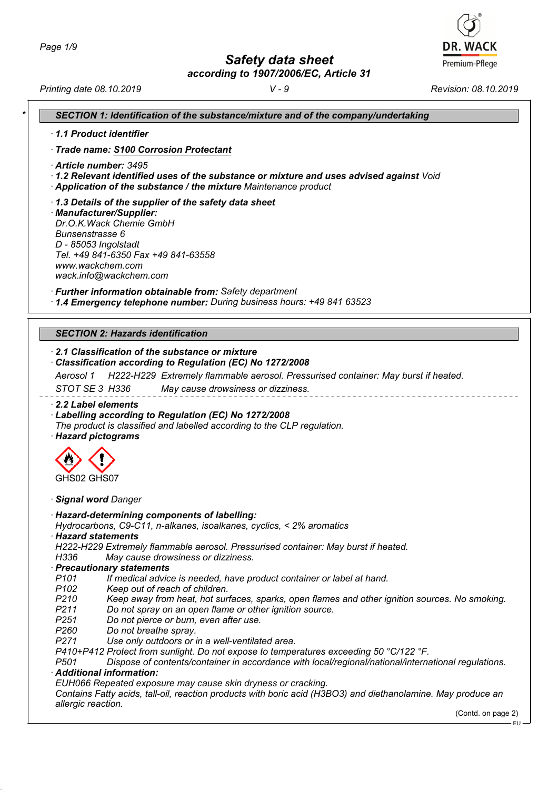*Safety data sheet*

*according to 1907/2006/EC, Article 31*

*Printing date 08.10.2019 V - 9 Revision: 08.10.2019*

**DR. WACK** Premium-Pflege

|                    | 1.1 Product identifier                                                                                                                                                                        |
|--------------------|-----------------------------------------------------------------------------------------------------------------------------------------------------------------------------------------------|
|                    | · Trade name: S100 Corrosion Protectant                                                                                                                                                       |
|                    | Article number: 3495                                                                                                                                                                          |
|                    | $\cdot$ 1.2 Relevant identified uses of the substance or mixture and uses advised against Void                                                                                                |
|                    | Application of the substance / the mixture Maintenance product                                                                                                                                |
|                    | 1.3 Details of the supplier of the safety data sheet                                                                                                                                          |
|                    | · Manufacturer/Supplier:<br>Dr.O.K. Wack Chemie GmbH                                                                                                                                          |
| Bunsenstrasse 6    |                                                                                                                                                                                               |
|                    | D - 85053 Ingolstadt                                                                                                                                                                          |
|                    | Tel. +49 841-6350 Fax +49 841-63558                                                                                                                                                           |
|                    | www.wackchem.com                                                                                                                                                                              |
|                    | wack.info@wackchem.com                                                                                                                                                                        |
|                    | · Further information obtainable from: Safety department                                                                                                                                      |
|                    | 1.4 Emergency telephone number: During business hours: +49 841 63523                                                                                                                          |
|                    |                                                                                                                                                                                               |
|                    | <b>SECTION 2: Hazards identification</b>                                                                                                                                                      |
|                    | 2.1 Classification of the substance or mixture                                                                                                                                                |
|                    | Classification according to Regulation (EC) No 1272/2008                                                                                                                                      |
| Aerosol 1          | H222-H229 Extremely flammable aerosol. Pressurised container: May burst if heated.                                                                                                            |
|                    | STOT SE 3 H336<br>May cause drowsiness or dizziness.                                                                                                                                          |
|                    | 2.2 Label elements<br>Labelling according to Regulation (EC) No 1272/2008<br>The product is classified and labelled according to the CLP regulation.                                          |
|                    | · Hazard pictograms                                                                                                                                                                           |
|                    |                                                                                                                                                                                               |
|                    |                                                                                                                                                                                               |
| GHS02 GHS07        |                                                                                                                                                                                               |
|                    | · Signal word Danger                                                                                                                                                                          |
|                    | · Hazard-determining components of labelling:                                                                                                                                                 |
|                    | Hydrocarbons, C9-C11, n-alkanes, isoalkanes, cyclics, < 2% aromatics                                                                                                                          |
|                    | · Hazard statements                                                                                                                                                                           |
|                    | H222-H229 Extremely flammable aerosol. Pressurised container: May burst if heated.                                                                                                            |
| H336               | May cause drowsiness or dizziness.                                                                                                                                                            |
| P <sub>101</sub>   | · Precautionary statements<br>If medical advice is needed, have product container or label at hand.                                                                                           |
| P <sub>102</sub>   | Keep out of reach of children.                                                                                                                                                                |
| P <sub>210</sub>   | Keep away from heat, hot surfaces, sparks, open flames and other ignition sources. No smoking.                                                                                                |
| P <sub>211</sub>   | Do not spray on an open flame or other ignition source.                                                                                                                                       |
| P <sub>251</sub>   | Do not pierce or burn, even after use.                                                                                                                                                        |
| P <sub>260</sub>   | Do not breathe spray.                                                                                                                                                                         |
| P271               | Use only outdoors or in a well-ventilated area.                                                                                                                                               |
| P <sub>501</sub>   | P410+P412 Protect from sunlight. Do not expose to temperatures exceeding 50 °C/122 °F.<br>Dispose of contents/container in accordance with local/regional/national/international regulations. |
|                    | · Additional information:                                                                                                                                                                     |
|                    | EUH066 Repeated exposure may cause skin dryness or cracking.                                                                                                                                  |
| allergic reaction. | Contains Fatty acids, tall-oil, reaction products with boric acid (H3BO3) and diethanolamine. May produce an                                                                                  |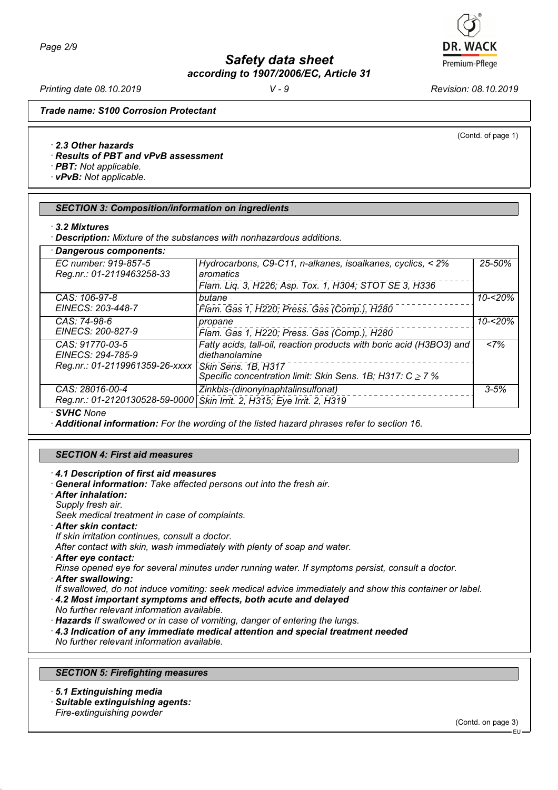*Printing date 08.10.2019 V - 9 Revision: 08.10.2019*

**DR. WACK** Premium-Pflege

(Contd. of page 1)

*Trade name: S100 Corrosion Protectant*

#### *· 2.3 Other hazards*

*· Results of PBT and vPvB assessment*

*· PBT: Not applicable.*

*· vPvB: Not applicable.*

#### *SECTION 3: Composition/information on ingredients*

*· Description: Mixture of the substances with nonhazardous additions.*

| · Dangerous components:                           |                                                                                        |            |
|---------------------------------------------------|----------------------------------------------------------------------------------------|------------|
| EC number: 919-857-5<br>Reg.nr.: 01-2119463258-33 | Hydrocarbons, C9-C11, n-alkanes, isoalkanes, cyclics, < 2%<br>aromatics                | $25 - 50%$ |
|                                                   | Flam. Liq. 3, H226; Asp. Tox. 1, H304; STOT SE 3, H336                                 |            |
| CAS: 106-97-8                                     | butane                                                                                 | $10 - 20%$ |
| EINECS: 203-448-7                                 | Flam. Gas 1, H220; Press. Gas (Comp.), H280                                            |            |
| CAS: 74-98-6                                      | propane                                                                                | $10 - 20%$ |
| EINECS: 200-827-9                                 | Flam. Gas 1, H220; Press. Gas (Comp.), H280                                            |            |
| CAS: 91770-03-5<br>EINECS: 294-785-9              | Fatty acids, tall-oil, reaction products with boric acid (H3BO3) and<br>diethanolamine | <7%        |
| Reg.nr.: 01-2119961359-26-xxxx                    | Skin Sens. 1B, H317                                                                    |            |
|                                                   | Specific concentration limit: Skin Sens. 1B; H317: $C \ge 7$ %                         |            |
| CAS: 28016-00-4                                   | Zinkbis-(dinonylnaphtalinsulfonat)                                                     | $3 - 5%$   |
| Reg.nr.: 01-2120130528-59-0000                    | Skin Irrit. 2, H315; Eye Irrit. 2, H319                                                |            |
| · SVHC None                                       |                                                                                        |            |

*· Additional information: For the wording of the listed hazard phrases refer to section 16.*

#### *SECTION 4: First aid measures*

*· 4.1 Description of first aid measures*

- *· General information: Take affected persons out into the fresh air.*
- *· After inhalation:*
- *Supply fresh air.*

*Seek medical treatment in case of complaints.*

- *· After skin contact:*
- *If skin irritation continues, consult a doctor.*

*After contact with skin, wash immediately with plenty of soap and water.*

*· After eye contact:*

*Rinse opened eye for several minutes under running water. If symptoms persist, consult a doctor.*

*· After swallowing:*

*If swallowed, do not induce vomiting: seek medical advice immediately and show this container or label.*

- *· 4.2 Most important symptoms and effects, both acute and delayed*
- *No further relevant information available.*
- *· Hazards If swallowed or in case of vomiting, danger of entering the lungs.*
- *· 4.3 Indication of any immediate medical attention and special treatment needed*
- *No further relevant information available.*

## *SECTION 5: Firefighting measures*

- *· 5.1 Extinguishing media*
- *· Suitable extinguishing agents:*

*Fire-extinguishing powder*

(Contd. on page 3)

*<sup>·</sup> 3.2 Mixtures*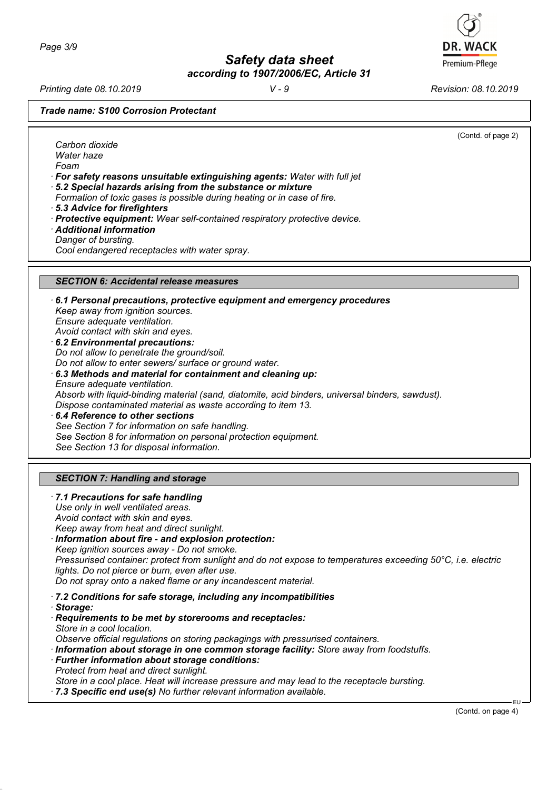*Printing date 08.10.2019 V - 9 Revision: 08.10.2019*

*Trade name: S100 Corrosion Protectant*

(Contd. of page 2) *Carbon dioxide Water haze Foam · For safety reasons unsuitable extinguishing agents: Water with full jet · 5.2 Special hazards arising from the substance or mixture Formation of toxic gases is possible during heating or in case of fire. · 5.3 Advice for firefighters · Protective equipment: Wear self-contained respiratory protective device. · Additional information Danger of bursting. Cool endangered receptacles with water spray. SECTION 6: Accidental release measures · 6.1 Personal precautions, protective equipment and emergency procedures Keep away from ignition sources. Ensure adequate ventilation. Avoid contact with skin and eyes. · 6.2 Environmental precautions: Do not allow to penetrate the ground/soil. Do not allow to enter sewers/ surface or ground water. · 6.3 Methods and material for containment and cleaning up: Ensure adequate ventilation. Absorb with liquid-binding material (sand, diatomite, acid binders, universal binders, sawdust). Dispose contaminated material as waste according to item 13. · 6.4 Reference to other sections See Section 7 for information on safe handling. See Section 8 for information on personal protection equipment. See Section 13 for disposal information. SECTION 7: Handling and storage · 7.1 Precautions for safe handling Use only in well ventilated areas. Avoid contact with skin and eyes. Keep away from heat and direct sunlight. · Information about fire - and explosion protection: Keep ignition sources away - Do not smoke. Pressurised container: protect from sunlight and do not expose to temperatures exceeding 50°C, i.e. electric lights. Do not pierce or burn, even after use. Do not spray onto a naked flame or any incandescent material.*

*· 7.2 Conditions for safe storage, including any incompatibilities*

*· Storage:*

*· Requirements to be met by storerooms and receptacles:*

*Store in a cool location.*

*Observe official regulations on storing packagings with pressurised containers.*

- *· Information about storage in one common storage facility: Store away from foodstuffs.*
- *· Further information about storage conditions: Protect from heat and direct sunlight.*

*Store in a cool place. Heat will increase pressure and may lead to the receptacle bursting.*

*· 7.3 Specific end use(s) No further relevant information available.*

(Contd. on page 4)



EU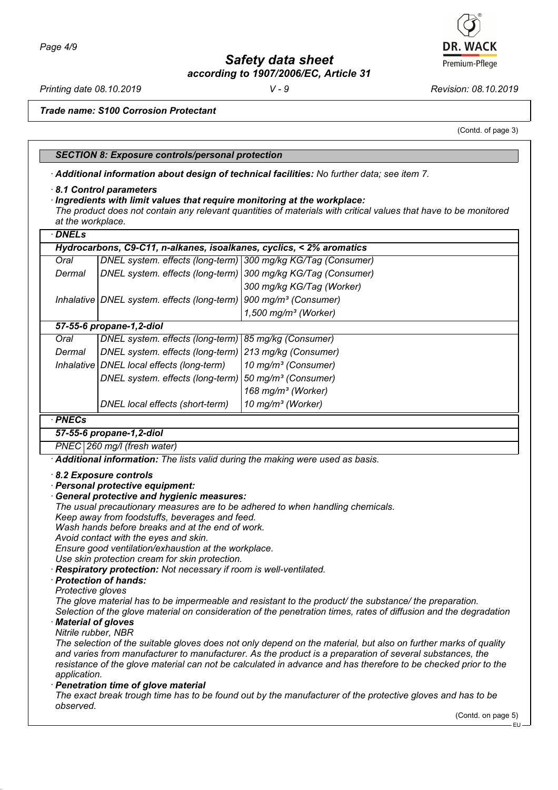*Printing date 08.10.2019 V - 9 Revision: 08.10.2019*

Premium-Pflege

*Trade name: S100 Corrosion Protectant*

(Contd. of page 3)

### *SECTION 8: Exposure controls/personal protection*

*· Additional information about design of technical facilities: No further data; see item 7.*

#### *· 8.1 Control parameters*

*at the workplace.*

*· Ingredients with limit values that require monitoring at the workplace: The product does not contain any relevant quantities of materials with critical values that have to be monitored*

| · DNELs                                                              |                                                              |                                    |  |
|----------------------------------------------------------------------|--------------------------------------------------------------|------------------------------------|--|
| Hydrocarbons, C9-C11, n-alkanes, isoalkanes, cyclics, < 2% aromatics |                                                              |                                    |  |
| Oral                                                                 | DNEL system. effects (long-term) 300 mg/kg KG/Tag (Consumer) |                                    |  |
| Dermal                                                               | DNEL system. effects (long-term) 300 mg/kg KG/Tag (Consumer) |                                    |  |
|                                                                      |                                                              | 300 mg/kg KG/Tag (Worker)          |  |
|                                                                      | Inhalative   DNEL system. effects (long-term)                | 900 mg/m <sup>3</sup> (Consumer)   |  |
|                                                                      |                                                              | $1,500$ mg/m <sup>3</sup> (Worker) |  |
| 57-55-6 propane-1,2-diol                                             |                                                              |                                    |  |
| Oral                                                                 | DNEL system. effects (long-term)   85 mg/kg (Consumer)       |                                    |  |
| Dermal                                                               | DNEL system. effects (long-term) 213 mg/kg (Consumer)        |                                    |  |
|                                                                      | Inhalative   DNEL local effects (long-term)                  | 10 mg/m <sup>3</sup> (Consumer)    |  |
|                                                                      | DNEL system. effects (long-term)                             | 50 mg/m <sup>3</sup> (Consumer)    |  |
|                                                                      |                                                              | 168 mg/m <sup>3</sup> (Worker)     |  |
|                                                                      | DNEL local effects (short-term)                              | 10 mg/m <sup>3</sup> (Worker)      |  |

#### *· PNECs*

*57-55-6 propane-1,2-diol*

*PNEC 260 mg/l (fresh water)*

*· Additional information: The lists valid during the making were used as basis.*

- *· 8.2 Exposure controls*
- *· Personal protective equipment:*
- *· General protective and hygienic measures: The usual precautionary measures are to be adhered to when handling chemicals. Keep away from foodstuffs, beverages and feed. Wash hands before breaks and at the end of work. Avoid contact with the eyes and skin.*

*Ensure good ventilation/exhaustion at the workplace.*

*Use skin protection cream for skin protection.*

*· Respiratory protection: Not necessary if room is well-ventilated.*

# *· Protection of hands:*

*Protective gloves*

*The glove material has to be impermeable and resistant to the product/ the substance/ the preparation.*

*Selection of the glove material on consideration of the penetration times, rates of diffusion and the degradation · Material of gloves*

## *Nitrile rubber, NBR*

*The selection of the suitable gloves does not only depend on the material, but also on further marks of quality and varies from manufacturer to manufacturer. As the product is a preparation of several substances, the resistance of the glove material can not be calculated in advance and has therefore to be checked prior to the application.*

*· Penetration time of glove material*

*The exact break trough time has to be found out by the manufacturer of the protective gloves and has to be observed.*

(Contd. on page 5)

EU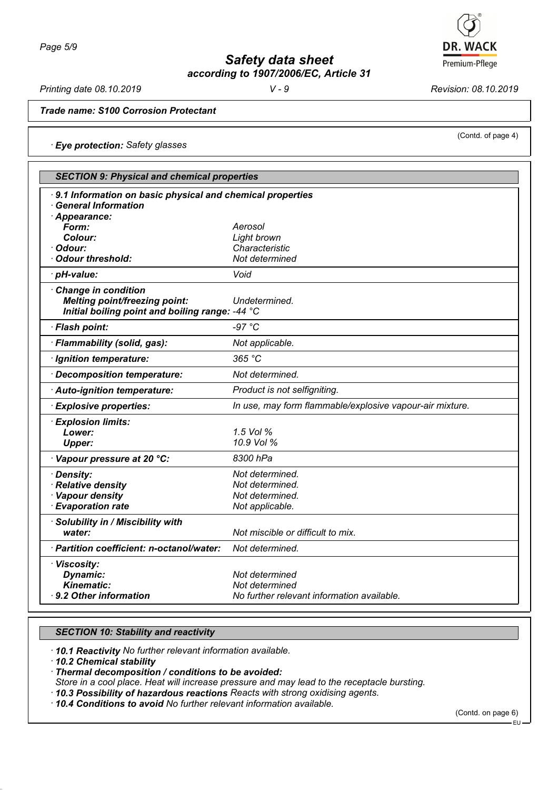

*Printing date 08.10.2019 V - 9 Revision: 08.10.2019*

(Contd. of page 4)

*Trade name: S100 Corrosion Protectant*

*· Eye protection: Safety glasses*

| <b>SECTION 9: Physical and chemical properties</b>                                                             |                                                          |  |
|----------------------------------------------------------------------------------------------------------------|----------------------------------------------------------|--|
| 9.1 Information on basic physical and chemical properties<br><b>General Information</b><br>Appearance:         |                                                          |  |
| Form:                                                                                                          | Aerosol                                                  |  |
| Colour:                                                                                                        | Light brown                                              |  |
| · Odour:                                                                                                       | Characteristic                                           |  |
| Odour threshold:                                                                                               | Not determined                                           |  |
| · pH-value:                                                                                                    | Void                                                     |  |
| Change in condition<br><b>Melting point/freezing point:</b><br>Initial boiling point and boiling range: -44 °C | Undetermined.                                            |  |
| · Flash point:                                                                                                 | $-97 °C$                                                 |  |
| · Flammability (solid, gas):                                                                                   | Not applicable.                                          |  |
| · Ignition temperature:                                                                                        | 365 °C                                                   |  |
| Decomposition temperature:                                                                                     | Not determined.                                          |  |
| Auto-ignition temperature:                                                                                     | Product is not selfigniting.                             |  |
| <b>Explosive properties:</b>                                                                                   | In use, may form flammable/explosive vapour-air mixture. |  |
| · Explosion limits:                                                                                            |                                                          |  |
| Lower:                                                                                                         | 1.5 Vol %                                                |  |
| <b>Upper:</b>                                                                                                  | 10.9 Vol %                                               |  |
| · Vapour pressure at 20 °C:                                                                                    | 8300 hPa                                                 |  |
| · Density:                                                                                                     | Not determined.                                          |  |
| · Relative density                                                                                             | Not determined.                                          |  |
| · Vapour density                                                                                               | Not determined.                                          |  |
| · Evaporation rate                                                                                             | Not applicable.                                          |  |
| · Solubility in / Miscibility with                                                                             |                                                          |  |
| water:                                                                                                         | Not miscible or difficult to mix.                        |  |
| · Partition coefficient: n-octanol/water:                                                                      | Not determined.                                          |  |
| · Viscosity:                                                                                                   |                                                          |  |
| Dynamic:                                                                                                       | Not determined                                           |  |
| <b>Kinematic:</b>                                                                                              | Not determined                                           |  |
| ⋅ 9.2 Other information                                                                                        | No further relevant information available.               |  |

## *SECTION 10: Stability and reactivity*

*· 10.1 Reactivity No further relevant information available.*

*· 10.2 Chemical stability*

*· Thermal decomposition / conditions to be avoided:*

*Store in a cool place. Heat will increase pressure and may lead to the receptacle bursting.*

*· 10.3 Possibility of hazardous reactions Reacts with strong oxidising agents.*

*· 10.4 Conditions to avoid No further relevant information available.*

(Contd. on page 6)

EU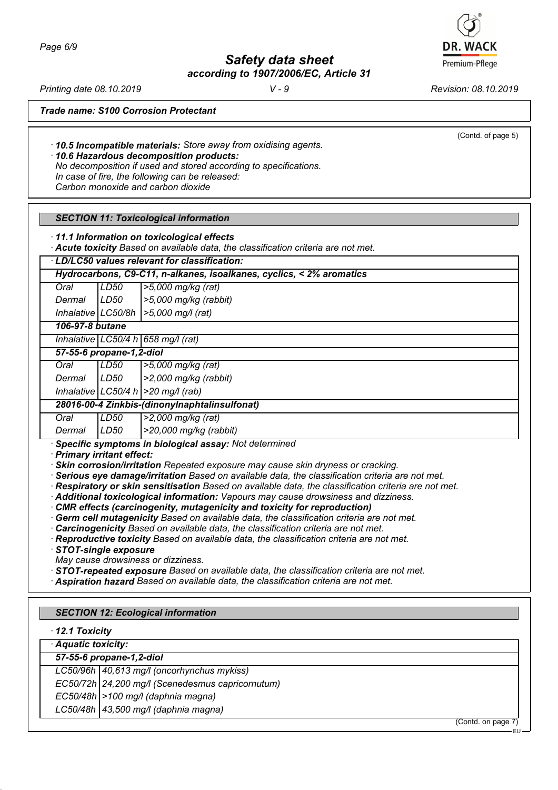

*Printing date 08.10.2019 V - 9 Revision: 08.10.2019*

(Contd. of page 5)

*Trade name: S100 Corrosion Protectant*

*· 10.5 Incompatible materials: Store away from oxidising agents.*

*· 10.6 Hazardous decomposition products:*

*No decomposition if used and stored according to specifications. In case of fire, the following can be released: Carbon monoxide and carbon dioxide*

### *SECTION 11: Toxicological information*

*· 11.1 Information on toxicological effects*

*· Acute toxicity Based on available data, the classification criteria are not met.*

| LD/LC50 values relevant for classification:                          |      |                       |  |  |
|----------------------------------------------------------------------|------|-----------------------|--|--|
| Hydrocarbons, C9-C11, n-alkanes, isoalkanes, cyclics, < 2% aromatics |      |                       |  |  |
| Oral                                                                 | LD50 | $ >5,000$ mg/kg (rat) |  |  |

*Dermal LD50 >5,000 mg/kg (rabbit) Inhalative LC50/8h >5,000 mg/l (rat)*

*106-97-8 butane*

*Inhalative LC50/4 h 658 mg/l (rat)*

*57-55-6 propane-1,2-diol*

*Oral LD50 >5,000 mg/kg (rat)*

*Dermal LD50 >2,000 mg/kg (rabbit)*

*Inhalative LC50/4 h >20 mg/l (rab)*

## *28016-00-4 Zinkbis-(dinonylnaphtalinsulfonat)*

*Oral LD50 >2,000 mg/kg (rat)*

*Dermal LD50 >20,000 mg/kg (rabbit)*

*· Specific symptoms in biological assay: Not determined*

*· Primary irritant effect:*

*· Skin corrosion/irritation Repeated exposure may cause skin dryness or cracking.*

*· Serious eye damage/irritation Based on available data, the classification criteria are not met.*

*· Respiratory or skin sensitisation Based on available data, the classification criteria are not met.*

- *· Additional toxicological information: Vapours may cause drowsiness and dizziness.*
- *· CMR effects (carcinogenity, mutagenicity and toxicity for reproduction)*

*· Germ cell mutagenicity Based on available data, the classification criteria are not met.*

*· Carcinogenicity Based on available data, the classification criteria are not met.*

*· Reproductive toxicity Based on available data, the classification criteria are not met.*

*· STOT-single exposure*

*May cause drowsiness or dizziness.*

*· STOT-repeated exposure Based on available data, the classification criteria are not met.*

*· Aspiration hazard Based on available data, the classification criteria are not met.*

# *SECTION 12: Ecological information*

*· 12.1 Toxicity*

*· Aquatic toxicity:*

*57-55-6 propane-1,2-diol LC50/96h 40,613 mg/l (oncorhynchus mykiss)*

*EC50/72h 24,200 mg/l (Scenedesmus capricornutum)*

*EC50/48h >100 mg/l (daphnia magna)*

*LC50/48h 43,500 mg/l (daphnia magna)*

(Contd. on page 7)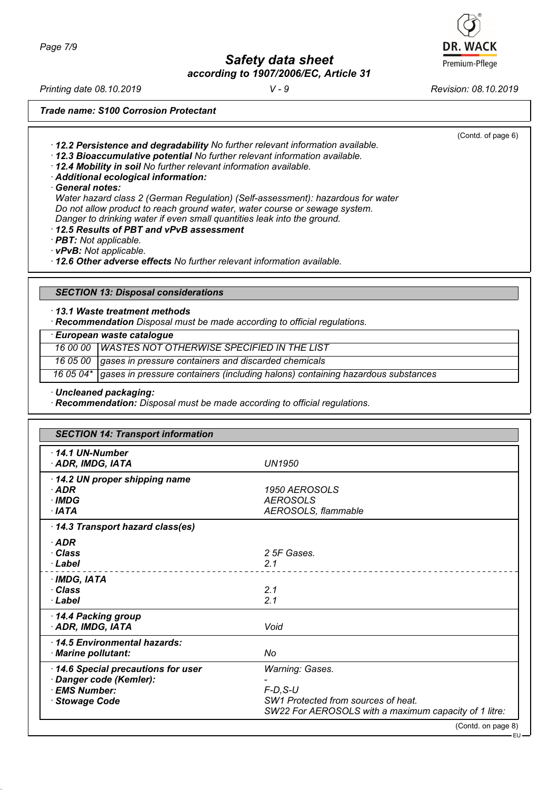*Page 7/9*

*Safety data sheet according to 1907/2006/EC, Article 31*

*Printing date 08.10.2019 V - 9 Revision: 08.10.2019*

*Trade name: S100 Corrosion Protectant*

*· 12.2 Persistence and degradability No further relevant information available.*

*· 12.3 Bioaccumulative potential No further relevant information available. · 12.4 Mobility in soil No further relevant information available.*

*· Additional ecological information:*

*· General notes:*

*Water hazard class 2 (German Regulation) (Self-assessment): hazardous for water Do not allow product to reach ground water, water course or sewage system. Danger to drinking water if even small quantities leak into the ground.*

*· 12.5 Results of PBT and vPvB assessment*

*· PBT: Not applicable.*

*· vPvB: Not applicable.*

*· 12.6 Other adverse effects No further relevant information available.*

## *SECTION 13: Disposal considerations*

*· 13.1 Waste treatment methods*

*· Recommendation Disposal must be made according to official regulations.*

*· European waste catalogue*

*16 00 00 WASTES NOT OTHERWISE SPECIFIED IN THE LIST*

*16 05 00 gases in pressure containers and discarded chemicals*

*16 05 04\* gases in pressure containers (including halons) containing hazardous substances*

*· Uncleaned packaging:*

*· Recommendation: Disposal must be made according to official regulations.*

| <b>SECTION 14: Transport information</b>                                                        |                                                                                                                                  |  |
|-------------------------------------------------------------------------------------------------|----------------------------------------------------------------------------------------------------------------------------------|--|
| $-14.1$ UN-Number<br>· ADR, IMDG, IATA                                                          | <b>UN1950</b>                                                                                                                    |  |
| 14.2 UN proper shipping name<br>$·$ ADR<br>· IMDG<br>$\cdot$ IATA                               | 1950 AEROSOLS<br><b>AEROSOLS</b><br>AEROSOLS, flammable                                                                          |  |
| 14.3 Transport hazard class(es)                                                                 |                                                                                                                                  |  |
| $\cdot$ ADR<br>· Class<br>· Label                                                               | 2 5F Gases.<br>2.1                                                                                                               |  |
| $\cdot$ IMDG, IATA<br>· Class<br>· Label                                                        | 2.1<br>2.1                                                                                                                       |  |
| 14.4 Packing group<br>· ADR, IMDG, IATA                                                         | Void                                                                                                                             |  |
| 14.5 Environmental hazards:<br>· Marine pollutant:                                              | No                                                                                                                               |  |
| 14.6 Special precautions for user<br>· Danger code (Kemler):<br>· EMS Number:<br>· Stowage Code | Warning: Gases.<br>$F-D$ , $S-U$<br>SW1 Protected from sources of heat.<br>SW22 For AEROSOLS with a maximum capacity of 1 litre: |  |
|                                                                                                 | (Contd. on page 8)                                                                                                               |  |



(Contd. of page 6)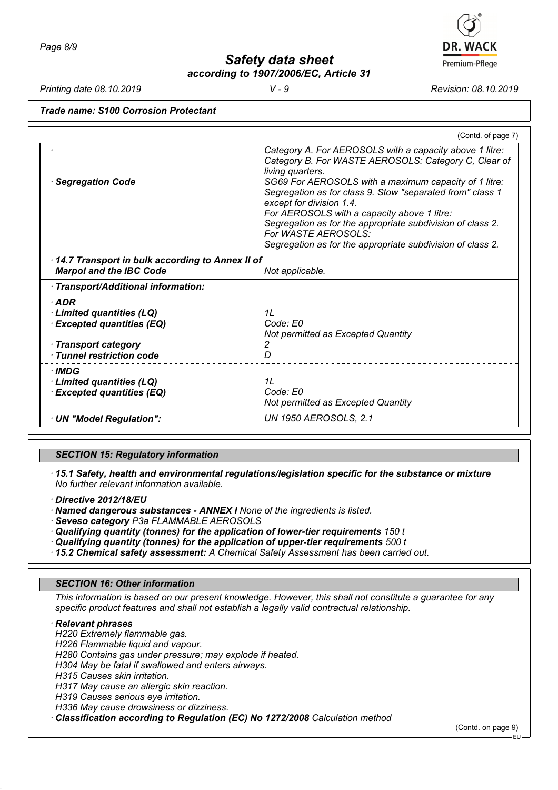# *Printing date 08.10.2019 V - 9 Revision: 08.10.2019*

*Trade name: S100 Corrosion Protectant*

|                                                                                   | (Contd. of page 7)                                                                                                                                                                                                                                                                                                                                                                                                                                                                      |
|-----------------------------------------------------------------------------------|-----------------------------------------------------------------------------------------------------------------------------------------------------------------------------------------------------------------------------------------------------------------------------------------------------------------------------------------------------------------------------------------------------------------------------------------------------------------------------------------|
| <b>Segregation Code</b>                                                           | Category A. For AEROSOLS with a capacity above 1 litre:<br>Category B. For WASTE AEROSOLS: Category C, Clear of<br>living quarters.<br>SG69 For AEROSOLS with a maximum capacity of 1 litre:<br>Segregation as for class 9. Stow "separated from" class 1<br>except for division 1.4.<br>For AEROSOLS with a capacity above 1 litre:<br>Segregation as for the appropriate subdivision of class 2.<br>For WASTE AEROSOLS:<br>Segregation as for the appropriate subdivision of class 2. |
| 14.7 Transport in bulk according to Annex II of<br><b>Marpol and the IBC Code</b> | Not applicable.                                                                                                                                                                                                                                                                                                                                                                                                                                                                         |
| Transport/Additional information:                                                 |                                                                                                                                                                                                                                                                                                                                                                                                                                                                                         |
| ∙ADR<br>Limited quantities (LQ)<br><b>Excepted quantities (EQ)</b>                | 1L<br>Code: E0<br>Not permitted as Excepted Quantity                                                                                                                                                                                                                                                                                                                                                                                                                                    |
| $\cdot$ Transport category                                                        |                                                                                                                                                                                                                                                                                                                                                                                                                                                                                         |

*Not permitted as Excepted Quantity*

# *SECTION 15: Regulatory information*

*· 15.1 Safety, health and environmental regulations/legislation specific for the substance or mixture No further relevant information available.*

*· Directive 2012/18/EU*

*<i>·* **Excepted quantities (EQ)** 

*· IMDG*

*· Named dangerous substances - ANNEX I None of the ingredients is listed.*

*· UN "Model Regulation": UN 1950 AEROSOLS, 2.1*

*· Seveso category P3a FLAMMABLE AEROSOLS*

*· Tunnel restriction code D* 

*· Limited quantities (LQ) 1L*

*· Qualifying quantity (tonnes) for the application of lower-tier requirements 150 t*

*· Qualifying quantity (tonnes) for the application of upper-tier requirements 500 t*

*· 15.2 Chemical safety assessment: A Chemical Safety Assessment has been carried out.*

## *SECTION 16: Other information*

*This information is based on our present knowledge. However, this shall not constitute a guarantee for any specific product features and shall not establish a legally valid contractual relationship.*

*· Relevant phrases*

*H220 Extremely flammable gas.*

*H226 Flammable liquid and vapour.*

*H280 Contains gas under pressure; may explode if heated.*

*H304 May be fatal if swallowed and enters airways.*

*H315 Causes skin irritation.*

*H317 May cause an allergic skin reaction.*

*H319 Causes serious eye irritation.*

*H336 May cause drowsiness or dizziness.*

*· Classification according to Regulation (EC) No 1272/2008 Calculation method*

(Contd. on page 9)